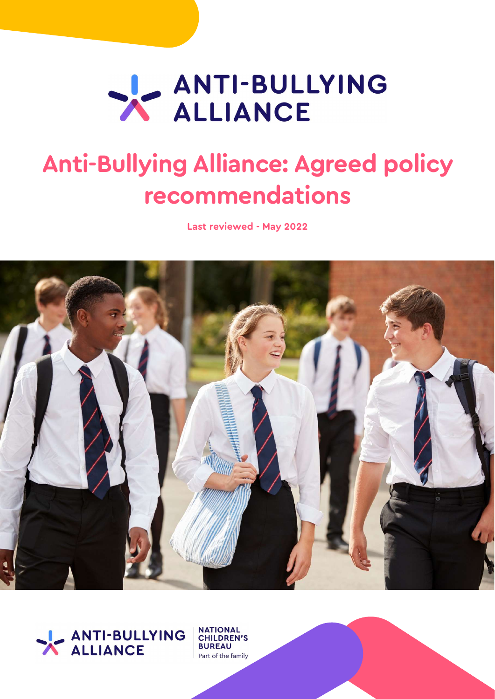# ANTI-BULLYING

# Anti-Bullying Alliance: Agreed policy recommendations

Last reviewed - May 2022





**NATIONAL** CHILDREN'S **BUREAU** Part of the family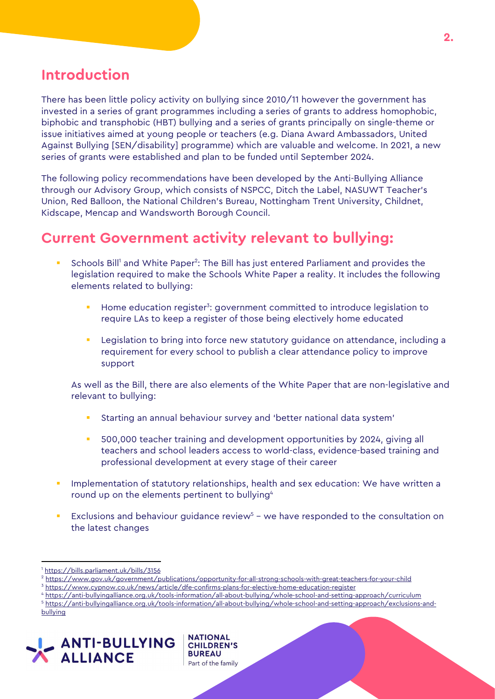### Introduction

There has been little policy activity on bullying since 2010/11 however the government has invested in a series of grant programmes including a series of grants to address homophobic, biphobic and transphobic (HBT) bullying and a series of grants principally on single-theme or issue initiatives aimed at young people or teachers (e.g. Diana Award Ambassadors, United Against Bullying [SEN/disability] programme) which are valuable and welcome. In 2021, a new series of grants were established and plan to be funded until September 2024.

The following policy recommendations have been developed by the Anti-Bullying Alliance through our Advisory Group, which consists of NSPCC, Ditch the Label, NASUWT Teacher's Union, Red Balloon, the National Children's Bureau, Nottingham Trent University, Childnet, Kidscape, Mencap and Wandsworth Borough Council.

## Current Government activity relevant to bullying:

- **Schools Bill<sup>1</sup>** and White Paper<sup>2</sup>: The Bill has just entered Parliament and provides the legislation required to make the Schools White Paper a reality. It includes the following elements related to bullying:
	- **EXP** Home education register<sup>3</sup>: government committed to introduce legislation to require LAs to keep a register of those being electively home educated
	- Legislation to bring into force new statutory guidance on attendance, including a requirement for every school to publish a clear attendance policy to improve support

As well as the Bill, there are also elements of the White Paper that are non-legislative and relevant to bullying:

- Starting an annual behaviour survey and 'better national data system'
- 500,000 teacher training and development opportunities by 2024, giving all teachers and school leaders access to world-class, evidence-based training and professional development at every stage of their career
- Implementation of statutory relationships, health and sex education: We have written a round up on the elements pertinent to bullying<sup>4</sup>
- Exclusions and behaviour guidance review<sup>5</sup> we have responded to the consultation on the latest changes

**NATIONAL** 

**BUREAU** 

**CHILDREN'S** 

4 https://anti-bullyingalliance.org.uk/tools-information/all-about-bullying/whole-school-and-setting-approach/curriculum

bullying



 $\overline{a}$ 1 https://bills.parliament.uk/bills/3156

<sup>2</sup> https://www.gov.uk/government/publications/opportunity-for-all-strong-schools-with-great-teachers-for-your-child

<sup>3</sup> https://www.cypnow.co.uk/news/article/dfe-confirms-plans-for-elective-home-education-register

<sup>5</sup> https://anti-bullyingalliance.org.uk/tools-information/all-about-bullying/whole-school-and-setting-approach/exclusions-and-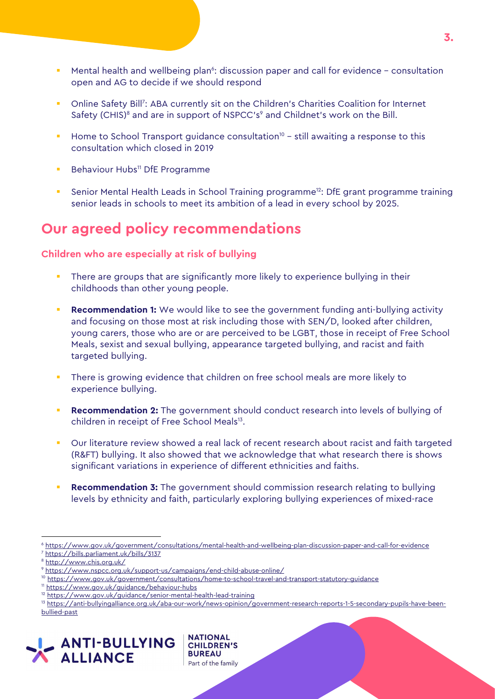**•** Mental health and wellbeing plan<sup>6</sup>: discussion paper and call for evidence - consultation open and AG to decide if we should respond

3.

- **DIMI** Conline Safety Bill<sup>7</sup>: ABA currently sit on the Children's Charities Coalition for Internet Safety (CHIS)<sup>8</sup> and are in support of NSPCC's<sup>9</sup> and Childnet's work on the Bill.
- Home to School Transport guidance consultation<sup>10</sup> still awaiting a response to this consultation which closed in 2019
- **Behaviour Hubs<sup>11</sup> DfE Programme**
- Senior Mental Health Leads in School Training programme<sup>12</sup>: DfE grant programme training senior leads in schools to meet its ambition of a lead in every school by 2025.

# Our agreed policy recommendations

Children who are especially at risk of bullying

- There are groups that are significantly more likely to experience bullying in their childhoods than other young people.
- Recommendation 1: We would like to see the government funding anti-bullying activity and focusing on those most at risk including those with SEN/D, looked after children, young carers, those who are or are perceived to be LGBT, those in receipt of Free School Meals, sexist and sexual bullying, appearance targeted bullying, and racist and faith targeted bullying.
- There is growing evidence that children on free school meals are more likely to experience bullying.
- Recommendation 2: The government should conduct research into levels of bullying of children in receipt of Free School Meals<sup>13</sup>.
- Our literature review showed a real lack of recent research about racist and faith targeted (R&FT) bullying. It also showed that we acknowledge that what research there is shows significant variations in experience of different ethnicities and faiths.
- Recommendation 3: The government should commission research relating to bullying levels by ethnicity and faith, particularly exploring bullying experiences of mixed-race

 $\overline{a}$ 

**NATIONAL** 

**BUREAU** Part of the family

**CHILDREN'S** 

<sup>13</sup> https://anti-bullyingalliance.org.uk/aba-our-work/news-opinion/government-research-reports-1-5-secondary-pupils-have-beenbullied-past



<sup>6</sup> https://www.gov.uk/government/consultations/mental-health-and-wellbeing-plan-discussion-paper-and-call-for-evidence 7 https://bills.parliament.uk/bills/3137

<sup>8</sup> http://www.chis.org.uk/

<sup>9</sup> https://www.nspcc.org.uk/support-us/campaigns/end-child-abuse-online/

<sup>&</sup>lt;sup>10</sup> https://www.gov.uk/government/consultations/home-to-school-travel-and-transport-statutory-guidance

<sup>11</sup> https://www.gov.uk/guidance/behaviour-hubs

<sup>12</sup> https://www.gov.uk/guidance/senior-mental-health-lead-training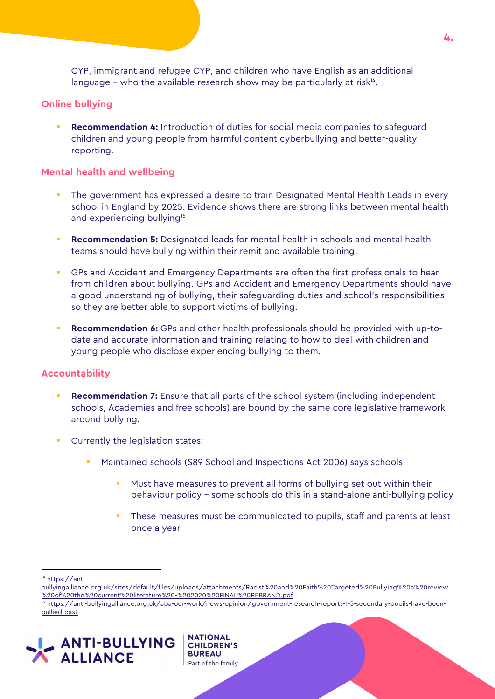CYP, immigrant and refugee CYP, and children who have English as an additional language  $-$  who the available research show may be particularly at risk $u^4$ .

#### Online bullying

 Recommendation 4: Introduction of duties for social media companies to safeguard children and young people from harmful content cyberbullying and better-quality reporting.

#### Mental health and wellbeing

- The government has expressed a desire to train Designated Mental Health Leads in every school in England by 2025. Evidence shows there are strong links between mental health and experiencing bullying<sup>15</sup>
- **Recommendation 5:** Designated leads for mental health in schools and mental health teams should have bullying within their remit and available training.
- GPs and Accident and Emergency Departments are often the first professionals to hear from children about bullying. GPs and Accident and Emergency Departments should have a good understanding of bullying, their safeguarding duties and school's responsibilities so they are better able to support victims of bullying.
- **Recommendation 6:** GPs and other health professionals should be provided with up-todate and accurate information and training relating to how to deal with children and young people who disclose experiencing bullying to them.

#### Accountability

- Recommendation 7: Ensure that all parts of the school system (including independent schools, Academies and free schools) are bound by the same core legislative framework around bullying.
- Currently the legislation states:
	- Maintained schools (S89 School and Inspections Act 2006) says schools
		- Must have measures to prevent all forms of bullying set out within their behaviour policy – some schools do this in a stand-alone anti-bullying policy
		- These measures must be communicated to pupils, staff and parents at least once a year

 $\overline{a}$ 

- bullyingalliance.org.uk/sites/default/files/uploads/attachments/Racist%20and%20Faith%20Targeted%20Bullying%20a%20review %20of%20the%20current%20literature%20-%202020%20FINAL%20REBRAND.pdf
- 15 https://anti-bullyingalliance.org.uk/aba-our-work/news-opinion/government-research-reports-1-5-secondary-pupils-have-beenbullied-past





<sup>14</sup> https://anti-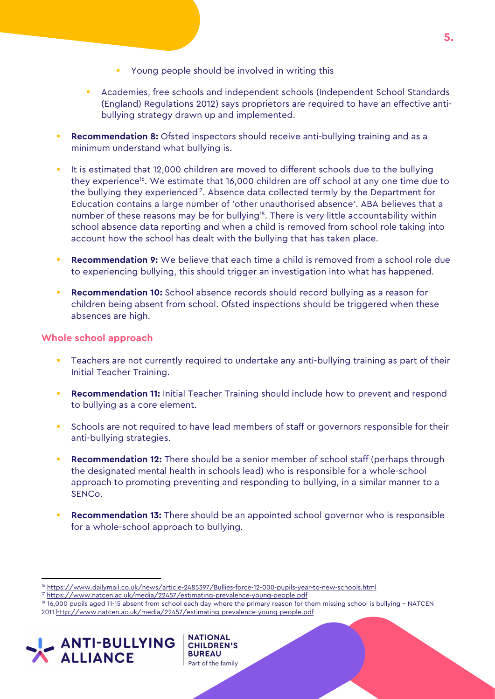- Young people should be involved in writing this
- Academies, free schools and independent schools (Independent School Standards (England) Regulations 2012) says proprietors are required to have an effective antibullying strategy drawn up and implemented.
- **Recommendation 8:** Ofsted inspectors should receive anti-bullying training and as a minimum understand what bullying is.
- It is estimated that 12,000 children are moved to different schools due to the bullying they experience<sup>16</sup>. We estimate that 16,000 children are off school at any one time due to the bullying they experienced<sup>17</sup>. Absence data collected termly by the Department for Education contains a large number of 'other unauthorised absence'. ABA believes that a number of these reasons may be for bullying<sup>18</sup>. There is very little accountability within school absence data reporting and when a child is removed from school role taking into account how the school has dealt with the bullying that has taken place.
- Recommendation 9: We believe that each time a child is removed from a school role due to experiencing bullying, this should trigger an investigation into what has happened.
- Recommendation 10: School absence records should record bullying as a reason for children being absent from school. Ofsted inspections should be triggered when these absences are high.

#### Whole school approach

- Teachers are not currently required to undertake any anti-bullying training as part of their Initial Teacher Training.
- **Recommendation 11:** Initial Teacher Training should include how to prevent and respond to bullying as a core element.
- Schools are not required to have lead members of staff or governors responsible for their anti-bullying strategies.
- Recommendation 12: There should be a senior member of school staff (perhaps through the designated mental health in schools lead) who is responsible for a whole-school approach to promoting preventing and responding to bullying, in a similar manner to a SENCo.
- Recommendation 13: There should be an appointed school governor who is responsible for a whole-school approach to bullying.

**NATIONAL** 

**BUREAU** Part of the family

**CHILDREN'S** 

 $\overline{a}$ 

<sup>16</sup> https://www.dailymail.co.uk/news/article-2485397/Bullies-force-12-000-pupils-year-to-new-schools.html

<sup>17</sup> https://www.natcen.ac.uk/media/22457/estimating-prevalence-young-people.pdf

<sup>18</sup> 16,000 pupils aged 11-15 absent from school each day where the primary reason for them missing school is bullying – NATCEN 2011 http://www.natcen.ac.uk/media/22457/estimating-prevalence-young-people.pdf